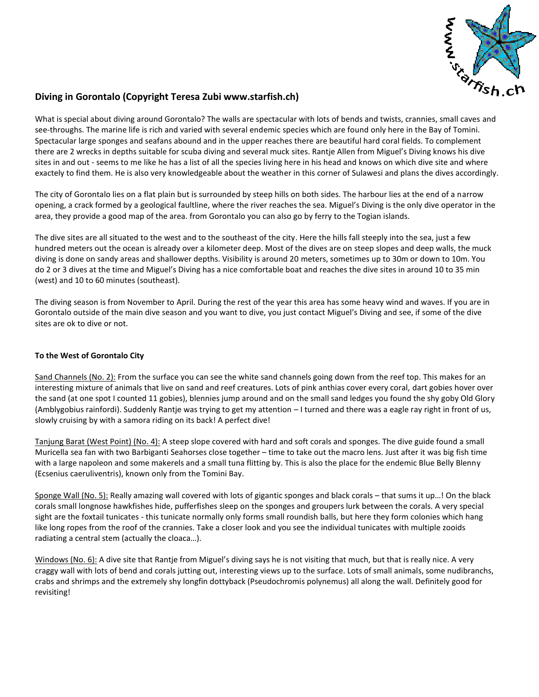

## **Diving in Gorontalo (Copyright Teresa Zubi www.starfish.ch)**

What is special about diving around Gorontalo? The walls are spectacular with lots of bends and twists, crannies, small caves and see-throughs. The marine life is rich and varied with several endemic species which are found only here in the Bay of Tomini. Spectacular large sponges and seafans abound and in the upper reaches there are beautiful hard coral fields. To complement there are 2 wrecks in depths suitable for scuba diving and several muck sites. Rantje Allen from Miguel's Diving knows his dive sites in and out - seems to me like he has a list of all the species living here in his head and knows on which dive site and where exactely to find them. He is also very knowledgeable about the weather in this corner of Sulawesi and plans the dives accordingly.

The city of Gorontalo lies on a flat plain but is surrounded by steep hills on both sides. The harbour lies at the end of a narrow opening, a crack formed by a geological faultline, where the river reaches the sea. Miguel's Diving is the only dive operator in the area, they provide a good map of the area. from Gorontalo you can also go by ferry to the Togian islands.

The dive sites are all situated to the west and to the southeast of the city. Here the hills fall steeply into the sea, just a few hundred meters out the ocean is already over a kilometer deep. Most of the dives are on steep slopes and deep walls, the muck diving is done on sandy areas and shallower depths. Visibility is around 20 meters, sometimes up to 30m or down to 10m. You do 2 or 3 dives at the time and Miguel's Diving has a nice comfortable boat and reaches the dive sites in around 10 to 35 min (west) and 10 to 60 minutes (southeast).

The diving season is from November to April. During the rest of the year this area has some heavy wind and waves. If you are in Gorontalo outside of the main dive season and you want to dive, you just contact Miguel's Diving and see, if some of the dive sites are ok to dive or not.

## **To the West of Gorontalo City**

Sand Channels (No. 2): From the surface you can see the white sand channels going down from the reef top. This makes for an interesting mixture of animals that live on sand and reef creatures. Lots of pink anthias cover every coral, dart gobies hover over the sand (at one spot I counted 11 gobies), blennies jump around and on the small sand ledges you found the shy goby Old Glory (Amblygobius rainfordi). Suddenly Rantje was trying to get my attention – I turned and there was a eagle ray right in front of us, slowly cruising by with a samora riding on its back! A perfect dive!

Tanjung Barat (West Point) (No. 4): A steep slope covered with hard and soft corals and sponges. The dive guide found a small Muricella sea fan with two Barbiganti Seahorses close together – time to take out the macro lens. Just after it was big fish time with a large napoleon and some makerels and a small tuna flitting by. This is also the place for the endemic Blue Belly Blenny (Ecsenius caeruliventris), known only from the Tomini Bay.

Sponge Wall (No. 5): Really amazing wall covered with lots of gigantic sponges and black corals – that sums it up…! On the black corals small longnose hawkfishes hide, pufferfishes sleep on the sponges and groupers lurk between the corals. A very special sight are the foxtail tunicates - this tunicate normally only forms small roundish balls, but here they form colonies which hang like long ropes from the roof of the crannies. Take a closer look and you see the individual tunicates with multiple zooids radiating a central stem (actually the cloaca…).

Windows (No. 6): A dive site that Rantje from Miguel's diving says he is not visiting that much, but that is really nice. A very craggy wall with lots of bend and corals jutting out, interesting views up to the surface. Lots of small animals, some nudibranchs, crabs and shrimps and the extremely shy longfin dottyback (Pseudochromis polynemus) all along the wall. Definitely good for revisiting!